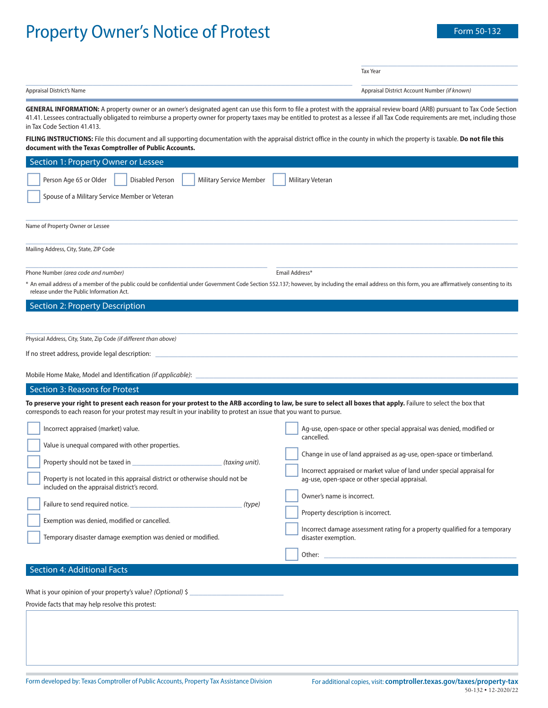# Property Owner's Notice of Protest

\_\_\_\_\_\_\_\_\_\_\_\_\_\_\_\_\_\_\_\_\_\_\_\_\_\_\_\_\_\_\_\_\_\_\_

Tax Year

| Appraisal District's Name | Appraisal District Account Number (if known) |
|---------------------------|----------------------------------------------|

GENERAL INFORMATION: A property owner or an owner's designated agent can use this form to file a protest with the appraisal review board (ARB) pursuant to Tax Code Section 41.41. Lessees contractually obligated to reimburse a property owner for property taxes may be entitled to protest as a lessee if all Tax Code requirements are met, including those in Tax Code Section 41.413.

**FILING INSTRUCTIONS:** File this document and all supporting documentation with the appraisal district office in the county in which the property is taxable. **Do not file this document with the Texas Comptroller of Public Accounts.**

| Section 1: Property Owner or Lessee                                                                                                                                                                                                                                                         |                                                                                                                                                                                                                                |  |
|---------------------------------------------------------------------------------------------------------------------------------------------------------------------------------------------------------------------------------------------------------------------------------------------|--------------------------------------------------------------------------------------------------------------------------------------------------------------------------------------------------------------------------------|--|
| Person Age 65 or Older<br><b>Disabled Person</b><br><b>Military Service Member</b>                                                                                                                                                                                                          | Military Veteran                                                                                                                                                                                                               |  |
| Spouse of a Military Service Member or Veteran                                                                                                                                                                                                                                              |                                                                                                                                                                                                                                |  |
| Name of Property Owner or Lessee                                                                                                                                                                                                                                                            |                                                                                                                                                                                                                                |  |
| Mailing Address, City, State, ZIP Code                                                                                                                                                                                                                                                      |                                                                                                                                                                                                                                |  |
| Phone Number (area code and number)                                                                                                                                                                                                                                                         | Email Address*                                                                                                                                                                                                                 |  |
| * An email address of a member of the public could be confidential under Government Code Section 552.137; however, by including the email address on this form, you are affirmatively consenting to its<br>release under the Public Information Act.                                        |                                                                                                                                                                                                                                |  |
| Section 2: Property Description                                                                                                                                                                                                                                                             |                                                                                                                                                                                                                                |  |
|                                                                                                                                                                                                                                                                                             |                                                                                                                                                                                                                                |  |
| Physical Address, City, State, Zip Code (if different than above)                                                                                                                                                                                                                           |                                                                                                                                                                                                                                |  |
|                                                                                                                                                                                                                                                                                             |                                                                                                                                                                                                                                |  |
| Mobile Home Make, Model and Identification (if applicable):                                                                                                                                                                                                                                 |                                                                                                                                                                                                                                |  |
| Section 3: Reasons for Protest                                                                                                                                                                                                                                                              |                                                                                                                                                                                                                                |  |
| To preserve your right to present each reason for your protest to the ARB according to law, be sure to select all boxes that apply. Failure to select the box that<br>corresponds to each reason for your protest may result in your inability to protest an issue that you want to pursue. |                                                                                                                                                                                                                                |  |
| Incorrect appraised (market) value.                                                                                                                                                                                                                                                         | Ag-use, open-space or other special appraisal was denied, modified or<br>cancelled.                                                                                                                                            |  |
| Value is unequal compared with other properties.<br>(taxing unit).                                                                                                                                                                                                                          | Change in use of land appraised as ag-use, open-space or timberland.                                                                                                                                                           |  |
| Property is not located in this appraisal district or otherwise should not be<br>included on the appraisal district's record.                                                                                                                                                               | Incorrect appraised or market value of land under special appraisal for<br>ag-use, open-space or other special appraisal.                                                                                                      |  |
| Failure to send required notice.<br>(type)                                                                                                                                                                                                                                                  | Owner's name is incorrect.<br>Property description is incorrect.                                                                                                                                                               |  |
| Exemption was denied, modified or cancelled.                                                                                                                                                                                                                                                |                                                                                                                                                                                                                                |  |
| Temporary disaster damage exemption was denied or modified.                                                                                                                                                                                                                                 | Incorrect damage assessment rating for a property qualified for a temporary<br>disaster exemption.                                                                                                                             |  |
|                                                                                                                                                                                                                                                                                             | Other: the contract of the contract of the contract of the contract of the contract of the contract of the contract of the contract of the contract of the contract of the contract of the contract of the contract of the con |  |
| Section 4: Additional Facts                                                                                                                                                                                                                                                                 |                                                                                                                                                                                                                                |  |
|                                                                                                                                                                                                                                                                                             |                                                                                                                                                                                                                                |  |

What is your opinion of your property's value? (Optional)  $\zeta$ 

Provide facts that may help resolve this protest: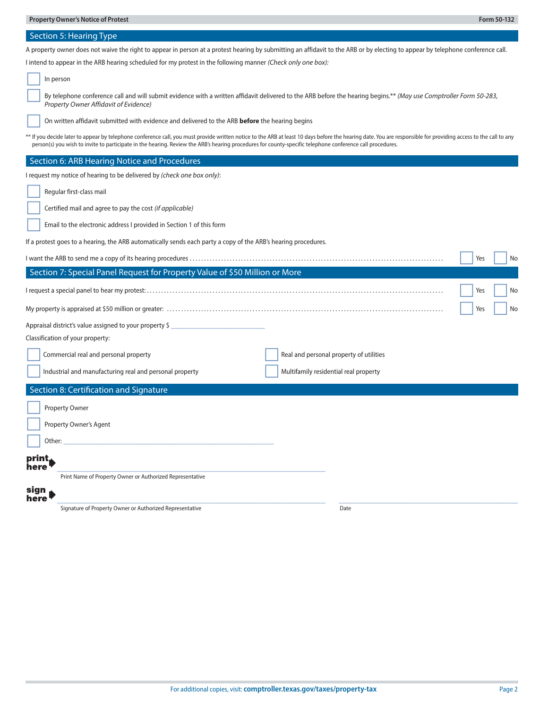### Section 5: Hearing Type

A property owner does not waive the right to appear in person at a protest hearing by submitting an affidavit to the ARB or by electing to appear by telephone conference call.

I intend to appear in the ARB hearing scheduled for my protest in the following manner (Check only one box):

| In person                                                                                                                                                                                                                                                                                                                                                                    |
|------------------------------------------------------------------------------------------------------------------------------------------------------------------------------------------------------------------------------------------------------------------------------------------------------------------------------------------------------------------------------|
| By telephone conference call and will submit evidence with a written affidavit delivered to the ARB before the hearing begins.** (May use Comptroller Form 50-283,<br><b>Property Owner Affidavit of Evidence)</b>                                                                                                                                                           |
| On written affidavit submitted with evidence and delivered to the ARB before the hearing begins                                                                                                                                                                                                                                                                              |
| ** If you decide later to appear by telephone conference call, you must provide written notice to the ARB at least 10 days before the hearing date. You are responsible for providing access to the call to any<br>person(s) you wish to invite to participate in the hearing. Review the ARB's hearing procedures for county-specific telephone conference call procedures. |
| Section 6: ARB Hearing Notice and Procedures                                                                                                                                                                                                                                                                                                                                 |
| I request my notice of hearing to be delivered by (check one box only):                                                                                                                                                                                                                                                                                                      |
| Regular first-class mail                                                                                                                                                                                                                                                                                                                                                     |
| Certified mail and agree to pay the cost (if applicable)                                                                                                                                                                                                                                                                                                                     |
| Email to the electronic address I provided in Section 1 of this form                                                                                                                                                                                                                                                                                                         |
| If a protest goes to a hearing, the ARB automatically sends each party a copy of the ARB's hearing procedures.                                                                                                                                                                                                                                                               |
| Yes<br>No                                                                                                                                                                                                                                                                                                                                                                    |
| Section 7: Special Panel Request for Property Value of \$50 Million or More                                                                                                                                                                                                                                                                                                  |
| Yes<br>No                                                                                                                                                                                                                                                                                                                                                                    |
| No<br>Yes                                                                                                                                                                                                                                                                                                                                                                    |
| Appraisal district's value assigned to your property \$                                                                                                                                                                                                                                                                                                                      |
| Classification of your property:                                                                                                                                                                                                                                                                                                                                             |
| Commercial real and personal property<br>Real and personal property of utilities                                                                                                                                                                                                                                                                                             |
| Industrial and manufacturing real and personal property<br>Multifamily residential real property                                                                                                                                                                                                                                                                             |
| Section 8: Certification and Signature                                                                                                                                                                                                                                                                                                                                       |
| <b>Property Owner</b>                                                                                                                                                                                                                                                                                                                                                        |
| Property Owner's Agent                                                                                                                                                                                                                                                                                                                                                       |
| Other:                                                                                                                                                                                                                                                                                                                                                                       |
| print,                                                                                                                                                                                                                                                                                                                                                                       |
| here                                                                                                                                                                                                                                                                                                                                                                         |
| Print Name of Property Owner or Authorized Representative<br>sign                                                                                                                                                                                                                                                                                                            |
| here                                                                                                                                                                                                                                                                                                                                                                         |

Signature of Property Owner or Authorized Representative Date Date Date Date